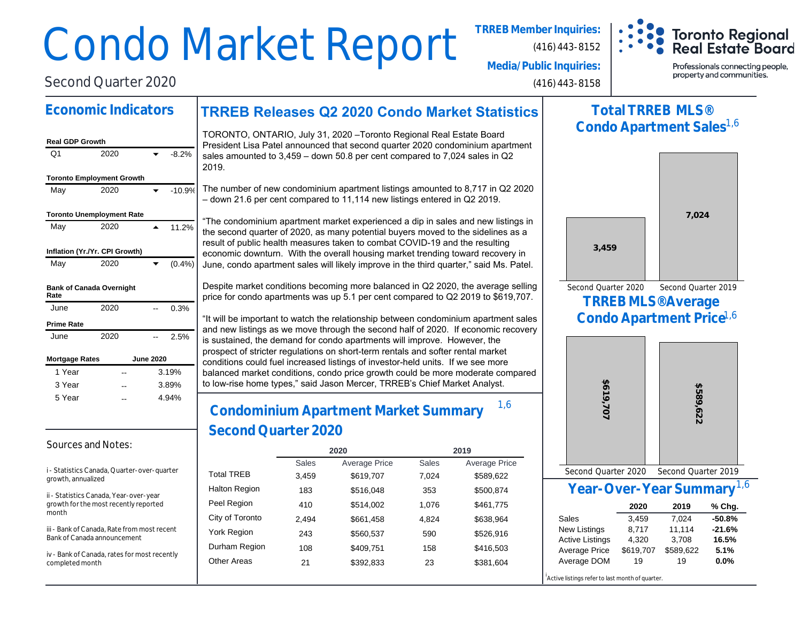# Condo Market Report **TRREB Member Inquiries:**

(416) 443-8152



**Media/Public Inquiries:**

(416) 443-8158

Professionals connecting people, property and communities.

**TRREB Releases Q2 2020 Condo Market Statistics Economic Indicators Real GDP Growth**  $Q1$  2020  $\bullet$  -8.2% **Toronto Employment Growth** May  $2020$   $\bullet$  -10.9% **Toronto Unemployment Rate** May 2020 **4 11.2% Inflation (Yr./Yr. CPI Growth)** May 2020  $\bullet$  (0.4%) **Bank of Canada Overnight Rate** June 2020 -- 0.3% **Prime Rate** June 2020 -- 2.5% **Mortgage Rates June 2020** 1 Year 1 Year 3 Year 3 Year 3.19% 3.89% -- -- TORONTO, ONTARIO, July 31, 2020 –Toronto Regional Real Estate Board President Lisa Patel announced that second quarter 2020 condominium apartment sales amounted to 3,459 – down 50.8 per cent compared to 7,024 sales in Q2 2019. The number of new condominium apartment listings amounted to 8,717 in Q2 2020 – down 21.6 per cent compared to 11,114 new listings entered in Q2 2019. "The condominium apartment market experienced a dip in sales and new listings in the second quarter of 2020, as many potential buyers moved to the sidelines as a result of public health measures taken to combat COVID-19 and the resulting economic downturn. With the overall housing market trending toward recovery in June, condo apartment sales will likely improve in the third quarter," said Ms. Patel. Despite market conditions becoming more balanced in Q2 2020, the average selling price for condo apartments was up 5.1 per cent compared to Q2 2019 to \$619,707. "It will be important to watch the relationship between condominium apartment sales and new listings as we move through the second half of 2020. If economic recovery is sustained, the demand for condo apartments will improve. However, the prospect of stricter regulations on short-term rentals and softer rental market conditions could fuel increased listings of investor-held units. If we see more balanced market conditions, condo price growth could be more moderate compared to low-rise home types," said Jason Mercer, TRREB's Chief Market Analyst.

## **Condominium Apartment Market Summary Second Quarter 2020**  $-$  4.94%  $\Bigg|$  Condominium Apertment Market Summary  $^{1,6}$

|                      |              | 2020                 | 2019         |                      |  |  |
|----------------------|--------------|----------------------|--------------|----------------------|--|--|
|                      | <b>Sales</b> | <b>Average Price</b> | <b>Sales</b> | <b>Average Price</b> |  |  |
| <b>Total TREB</b>    | 3,459        | \$619,707            | 7,024        | \$589,622            |  |  |
| <b>Halton Region</b> | 183          | \$516,048            | 353          | \$500,874            |  |  |
| Peel Region          | 410          | \$514,002            | 1.076        | \$461,775            |  |  |
| City of Toronto      | 2.494        | \$661,458            | 4.824        | \$638,964            |  |  |
| York Region          | 243          | \$560,537            | 590          | \$526,916            |  |  |
| Durham Region        | 108          | \$409,751            | 158          | \$416,503            |  |  |
| <b>Other Areas</b>   | 21           | \$392,833            | 23           | \$381,604            |  |  |
|                      |              |                      |              |                      |  |  |

## **Total TRREB MLS® Condo Apartment Sales** 1,6



**Condo Apartment Price** 1,6



## **Year-Over-Year Summary** 1,6

|                        | 2020      | 2019      | % Chg.   |
|------------------------|-----------|-----------|----------|
| Sales                  | 3.459     | 7.024     | $-50.8%$ |
| <b>New Listings</b>    | 8.717     | 11.114    | $-21.6%$ |
| <b>Active Listings</b> | 4.320     | 3,708     | 16.5%    |
| Average Price          | \$619,707 | \$589,622 | 5.1%     |
| Average DOM            | 19        | 19        | 0.0%     |

Active listings refer to last month of quarter

#### Sources and Notes:

5 Year 5 Year

i - Statistics Canada, Quarter-over-quarter growth, annualized

4.94%

Second Quarter 2020

ii - Statistics Canada, Year-over-year growth for the most recently reported month

iii - Bank of Canada, Rate from most recent Bank of Canada announcement

iv - Bank of Canada, rates for most recently completed month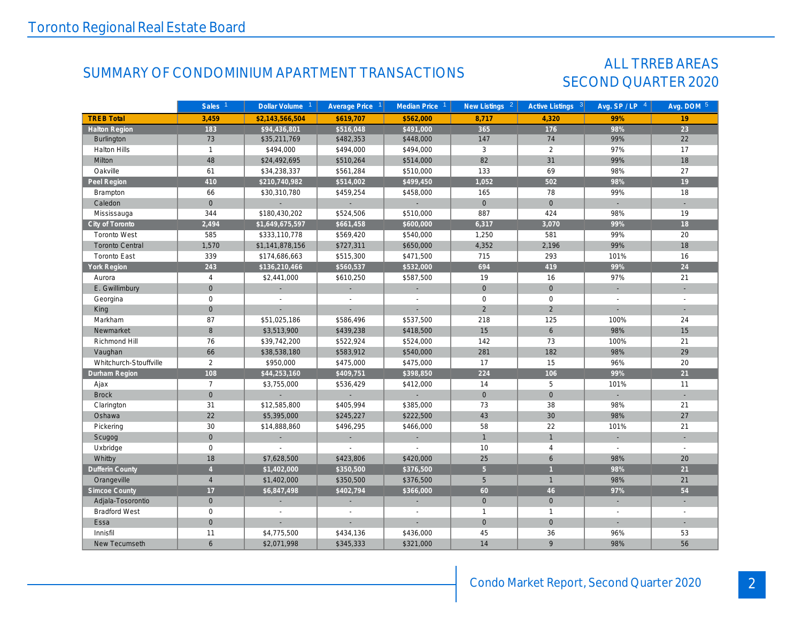## SUMMARY OF CONDOMINIUM APARTMENT TRANSACTIONS SECOND QUARTER 2020

## ALL TRREB AREAS

|                        | Sales <sup>1</sup> | Dollar Volume <sup>1</sup> | Average Price 1             | Median Price 1              | New Listings <sup>2</sup> | Active Listings <sup>3</sup> | Avg. $SP / LP$ <sup>4</sup> | Avg. DOM 5     |
|------------------------|--------------------|----------------------------|-----------------------------|-----------------------------|---------------------------|------------------------------|-----------------------------|----------------|
| <b>TREB Total</b>      | 3,459              | \$2,143,566,504            | \$619,707                   | \$562,000                   | 8,717                     | 4,320                        | 99%                         | 19             |
| <b>Halton Region</b>   | 183                | \$94,436,801               | \$516,048                   | \$491,000                   | 365                       | 176                          | 98%                         | 23             |
| Burlington             | 73                 | \$35,211,769               | \$482,353                   | \$448,000                   | 147                       | 74                           | 99%                         | 22             |
| <b>Halton Hills</b>    | $\mathbf{1}$       | \$494,000                  | \$494,000                   | \$494,000                   | 3                         | 2                            | 97%                         | 17             |
| Milton                 | 48                 | \$24,492,695               | \$510,264                   | \$514,000                   | 82                        | 31                           | 99%                         | 18             |
| Oakville               | 61                 | \$34,238,337               | \$561,284                   | \$510,000                   | 133                       | 69                           | 98%                         | 27             |
| Peel Region            | 410                | \$210,740,982              | \$514,002                   | \$499,450                   | 1,052                     | 502                          | 98%                         | 19             |
| Brampton               | 66                 | \$30,310,780               | \$459,254                   | \$458,000                   | 165                       | 78                           | 99%                         | 18             |
| Caledon                | $\overline{0}$     | $\blacklozenge$            | $\sim$                      | $\mathcal{L}_{\mathcal{A}}$ | $\overline{0}$            | $\overline{0}$               | $\sim$                      | $\sim$         |
| Mississauga            | 344                | \$180,430,202              | \$524,506                   | \$510,000                   | 887                       | 424                          | 98%                         | 19             |
| City of Toronto        | 2,494              | \$1,649,675,597            | \$661,458                   | \$600,000                   | 6,317                     | 3,070                        | 99%                         | 18             |
| <b>Toronto West</b>    | 585                | \$333,110,778              | \$569,420                   | \$540,000                   | 1,250                     | 581                          | 99%                         | 20             |
| <b>Toronto Central</b> | 1,570              | \$1,141,878,156            | \$727,311                   | \$650,000                   | 4,352                     | 2,196                        | 99%                         | 18             |
| <b>Toronto East</b>    | 339                | \$174,686,663              | \$515,300                   | \$471,500                   | 715                       | 293                          | 101%                        | 16             |
| York Region            | 243                | \$136,210,466              | \$560,537                   | \$532,000                   | 694                       | 419                          | 99%                         | 24             |
| Aurora                 | $\overline{4}$     | \$2,441,000                | \$610,250                   | \$587,500                   | 19                        | 16                           | 97%                         | 21             |
| E. Gwillimbury         | $\overline{0}$     | ÷.                         | $\mathcal{L}_{\mathcal{A}}$ | ÷.                          | $\mathbf 0$               | $\mathbf{0}$                 | ÷.                          | ÷.             |
| Georgina               | $\mathbf 0$        | $\overline{\phantom{a}}$   | $\sim$                      | $\overline{\phantom{a}}$    | $\mathbf 0$               | $\mathbf 0$                  | $\sim$                      | $\overline{a}$ |
| King                   | $\mathbf{0}$       | L.                         | ÷                           | L.                          | $\overline{2}$            | $\overline{2}$               | ÷.                          |                |
| Markham                | 87                 | \$51,025,186               | \$586,496                   | \$537,500                   | 218                       | 125                          | 100%                        | 24             |
| Newmarket              | 8                  | \$3,513,900                | \$439,238                   | \$418,500                   | 15                        | 6                            | 98%                         | 15             |
| Richmond Hill          | 76                 | \$39,742,200               | \$522,924                   | \$524,000                   | 142                       | 73                           | 100%                        | 21             |
| Vaughan                | 66                 | \$38,538,180               | \$583,912                   | \$540,000                   | 281                       | 182                          | 98%                         | 29             |
| Whitchurch-Stouffville | 2                  | \$950,000                  | \$475,000                   | \$475,000                   | 17                        | 15                           | 96%                         | 20             |
| Durham Region          | 108                | \$44,253,160               | \$409,751                   | \$398,850                   | 224                       | 106                          | 99%                         | 21             |
| Ajax                   | $\overline{7}$     | \$3,755,000                | \$536,429                   | \$412,000                   | 14                        | 5                            | 101%                        | 11             |
| <b>Brock</b>           | $\overline{0}$     | $\mathcal{L}$              | $\sim$                      | ÷.                          | $\overline{0}$            | $\mathbf{O}$                 | $\sim$                      | $\sim$         |
| Clarington             | 31                 | \$12,585,800               | \$405,994                   | \$385,000                   | 73                        | 38                           | 98%                         | 21             |
| Oshawa                 | 22                 | \$5,395,000                | \$245,227                   | \$222,500                   | 43                        | 30                           | 98%                         | 27             |
| Pickering              | 30                 | \$14,888,860               | \$496,295                   | \$466,000                   | 58                        | 22                           | 101%                        | 21             |
| Scugog                 | $\mathbf{0}$       | ÷.                         | ÷.                          | ÷.                          | $\mathbf{1}$              | $\mathbf{1}$                 | ÷.                          |                |
| Uxbridge               | $\mathbf 0$        | $\sim$                     | $\sim$                      | ÷,                          | 10                        | $\overline{4}$               | $\sim$                      | $\sim$         |
| Whitby                 | 18                 | \$7,628,500                | \$423,806                   | \$420,000                   | 25                        | 6                            | 98%                         | 20             |
| <b>Dufferin County</b> | $\overline{4}$     | \$1,402,000                | \$350,500                   | \$376,500                   | 5 <sup>1</sup>            | $\mathbf{1}$                 | 98%                         | 21             |
| Orangeville            | $\overline{4}$     | \$1,402,000                | \$350,500                   | \$376,500                   | 5                         | $\mathbf{1}$                 | 98%                         | 21             |
| <b>Simcoe County</b>   | 17                 | \$6,847,498                | \$402,794                   | \$366,000                   | 60                        | 46                           | 97%                         | 54             |
| Adjala-Tosorontio      | $\mathbf{0}$       | ÷.                         |                             | ÷.                          | $\mathbf{0}$              | $\overline{0}$               | ÷.                          | a.             |
| <b>Bradford West</b>   | $\mathbf 0$        | $\overline{a}$             | $\mathcal{L}$               | $\overline{a}$              | $\mathbf{1}$              | $\mathbf{1}$                 | $\mathcal{L}$               |                |
| Essa                   | $\mathbf{0}$       |                            |                             |                             | $\overline{0}$            | $\Omega$                     | ÷.                          |                |
| Innisfil               | 11                 | \$4,775,500                | \$434,136                   | \$436,000                   | 45                        | 36                           | 96%                         | 53             |
| New Tecumseth          | 6                  | \$2,071,998                | \$345,333                   | \$321,000                   | 14                        | 9                            | 98%                         | 56             |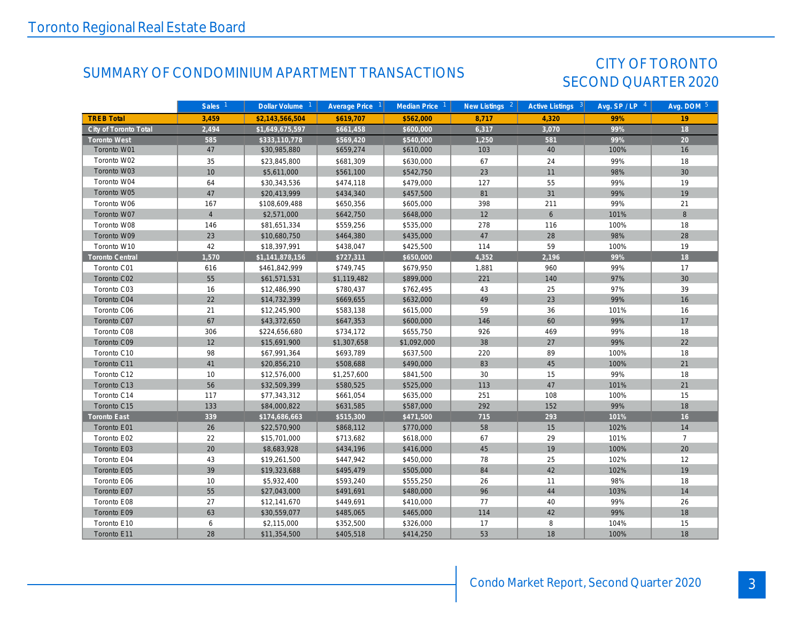## SUMMARY OF CONDOMINIUM APARTMENT TRANSACTIONS SECOND QUARTER 2020

## CITY OF TORONTO

|                       | Sales <sup>1</sup> | Dollar Volume <sup>1</sup> | Average Price $1$ | Median Price 1 | New Listings $2$ | Active Listings 3 | Avg. $SP / LP$ <sup>4</sup> | Avg. DOM 5     |
|-----------------------|--------------------|----------------------------|-------------------|----------------|------------------|-------------------|-----------------------------|----------------|
| <b>TREB Total</b>     | 3,459              | \$2,143,566,504            | \$619.707         | \$562.000      | 8.717            | 4.320             | 99%                         | 19             |
| City of Toronto Total | 2,494              | \$1,649,675,597            | \$661,458         | \$600,000      | 6,317            | 3,070             | 99%                         | 18             |
| <b>Toronto West</b>   | 585                | \$333,110,778              | \$569,420         | \$540,000      | 1,250            | 581               | 99%                         | 20             |
| Toronto W01           | 47                 | \$30,985,880               | \$659,274         | \$610,000      | 103              | 40                | 100%                        | 16             |
| Toronto W02           | 35                 | \$23,845,800               | \$681,309         | \$630,000      | 67               | 24                | 99%                         | 18             |
| Toronto W03           | 10                 | \$5,611,000                | \$561,100         | \$542,750      | 23               | 11                | 98%                         | 30             |
| Toronto W04           | 64                 | \$30,343,536               | \$474,118         | \$479,000      | 127              | 55                | 99%                         | 19             |
| Toronto W05           | 47                 | \$20,413,999               | \$434,340         | \$457,500      | 81               | 31                | 99%                         | 19             |
| Toronto W06           | 167                | \$108,609,488              | \$650,356         | \$605,000      | 398              | 211               | 99%                         | 21             |
| Toronto W07           | $\overline{4}$     | \$2,571,000                | \$642,750         | \$648,000      | 12               | 6                 | 101%                        | 8              |
| Toronto W08           | 146                | \$81,651,334               | \$559,256         | \$535,000      | 278              | 116               | 100%                        | 18             |
| Toronto W09           | 23                 | \$10,680,750               | \$464,380         | \$435,000      | 47               | 28                | 98%                         | 28             |
| Toronto W10           | 42                 | \$18,397,991               | \$438,047         | \$425,500      | 114              | 59                | 100%                        | 19             |
| Toronto Central       | 1,570              | \$1,141,878,156            | \$727,311         | \$650,000      | 4,352            | 2,196             | 99%                         | 18             |
| Toronto C01           | 616                | \$461,842,999              | \$749,745         | \$679,950      | 1,881            | 960               | 99%                         | 17             |
| Toronto C02           | 55                 | \$61,571,531               | \$1,119,482       | \$899,000      | 221              | 140               | 97%                         | 30             |
| Toronto C03           | 16                 | \$12,486,990               | \$780,437         | \$762,495      | 43               | 25                | 97%                         | 39             |
| Toronto C04           | 22                 | \$14,732,399               | \$669,655         | \$632,000      | 49               | 23                | 99%                         | 16             |
| Toronto C06           | 21                 | \$12,245,900               | \$583,138         | \$615,000      | 59               | 36                | 101%                        | 16             |
| Toronto C07           | 67                 | \$43,372,650               | \$647,353         | \$600,000      | 146              | 60                | 99%                         | 17             |
| Toronto C08           | 306                | \$224,656,680              | \$734,172         | \$655,750      | 926              | 469               | 99%                         | 18             |
| Toronto C09           | 12                 | \$15,691,900               | \$1,307,658       | \$1,092,000    | 38               | 27                | 99%                         | 22             |
| Toronto C10           | 98                 | \$67,991,364               | \$693,789         | \$637,500      | 220              | 89                | 100%                        | 18             |
| Toronto C11           | 41                 | \$20,856,210               | \$508,688         | \$490,000      | 83               | 45                | 100%                        | 21             |
| Toronto C12           | 10                 | \$12,576,000               | \$1,257,600       | \$841,500      | 30               | 15                | 99%                         | 18             |
| Toronto C13           | 56                 | \$32,509,399               | \$580,525         | \$525,000      | 113              | 47                | 101%                        | 21             |
| Toronto C14           | 117                | \$77,343,312               | \$661,054         | \$635,000      | 251              | 108               | 100%                        | 15             |
| Toronto C15           | 133                | \$84,000,822               | \$631,585         | \$587,000      | 292              | 152               | 99%                         | 18             |
| Toronto East          | 339                | \$174,686,663              | \$515,300         | \$471,500      | 715              | 293               | 101%                        | 16             |
| Toronto E01           | 26                 | \$22,570,900               | \$868,112         | \$770,000      | 58               | 15                | 102%                        | 14             |
| Toronto E02           | 22                 | \$15,701,000               | \$713,682         | \$618,000      | 67               | 29                | 101%                        | $\overline{7}$ |
| Toronto E03           | 20                 | \$8,683,928                | \$434,196         | \$416,000      | 45               | 19                | 100%                        | 20             |
| Toronto E04           | 43                 | \$19,261,500               | \$447,942         | \$450,000      | 78               | 25                | 102%                        | 12             |
| Toronto E05           | 39                 | \$19,323,688               | \$495,479         | \$505,000      | 84               | 42                | 102%                        | 19             |
| Toronto E06           | 10                 | \$5,932,400                | \$593,240         | \$555,250      | 26               | 11                | 98%                         | 18             |
| Toronto E07           | 55                 | \$27,043,000               | \$491,691         | \$480,000      | 96               | 44                | 103%                        | 14             |
| Toronto E08           | 27                 | \$12,141,670               | \$449,691         | \$410,000      | 77               | 40                | 99%                         | 26             |
| Toronto E09           | 63                 | \$30,559,077               | \$485,065         | \$465,000      | 114              | 42                | 99%                         | 18             |
| Toronto E10           | 6                  | \$2,115,000                | \$352,500         | \$326,000      | 17               | 8                 | 104%                        | 15             |
| Toronto E11           | 28                 | \$11,354,500               | \$405,518         | \$414,250      | 53               | 18                | 100%                        | 18             |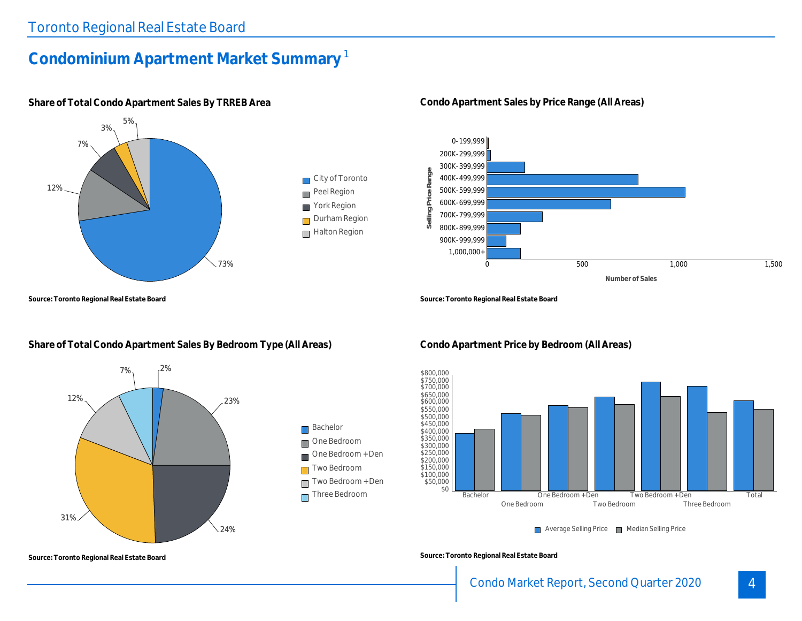## **Condominium Apartment Market Summary** 1



**Share of Total Condo Apartment Sales By TRREB Area**

**Source: Toronto Regional Real Estate Board**

## **Share of Total Condo Apartment Sales By Bedroom Type (All Areas)**



**Condo Apartment Sales by Price Range (All Areas)**



**Source: Toronto Regional Real Estate Board**



**Condo Apartment Price by Bedroom (All Areas)**

**Source: Toronto Regional Real Estate Board**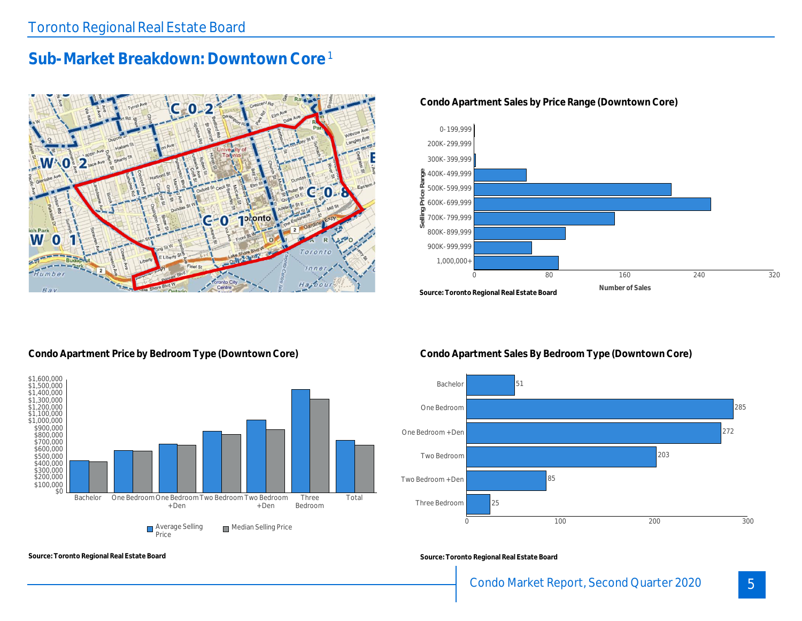## **Sub-Market Breakdown: Downtown Core** 1



#### **Condo Apartment Sales by Price Range (Downtown Core)**



#### **Condo Apartment Price by Bedroom Type (Downtown Core)**

**Source: Toronto Regional Real Estate Board**



**Condo Apartment Sales By Bedroom Type (Downtown Core)**



**Source: Toronto Regional Real Estate Board**

## Condo Market Report, Second Quarter 2020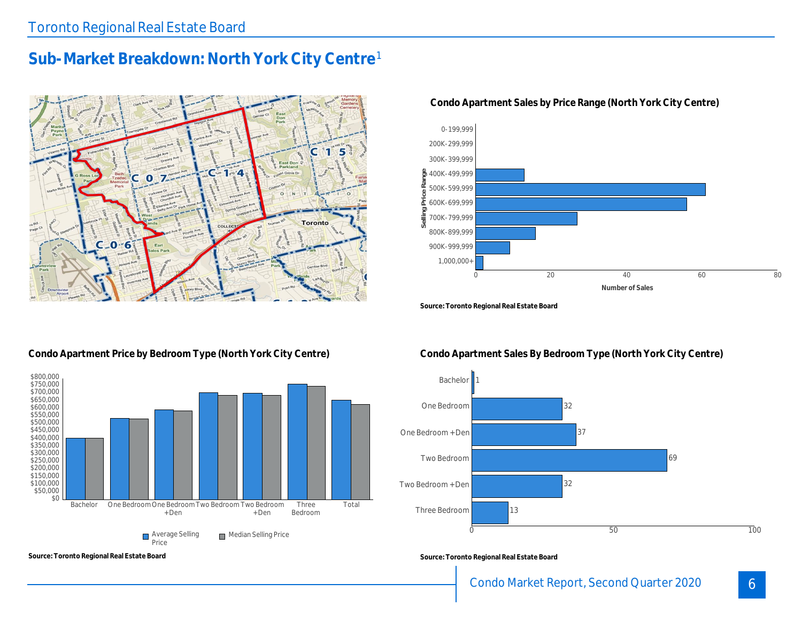## **Sub-Market Breakdown: North York City Centre** 1



#### **Condo Apartment Sales by Price Range (North York City Centre)**



**Source: Toronto Regional Real Estate Board**

### **Condo Apartment Price by Bedroom Type (North York City Centre)**



**Source: Toronto Regional Real Estate Board**

### **Condo Apartment Sales By Bedroom Type (North York City Centre)**



**Source: Toronto Regional Real Estate Board**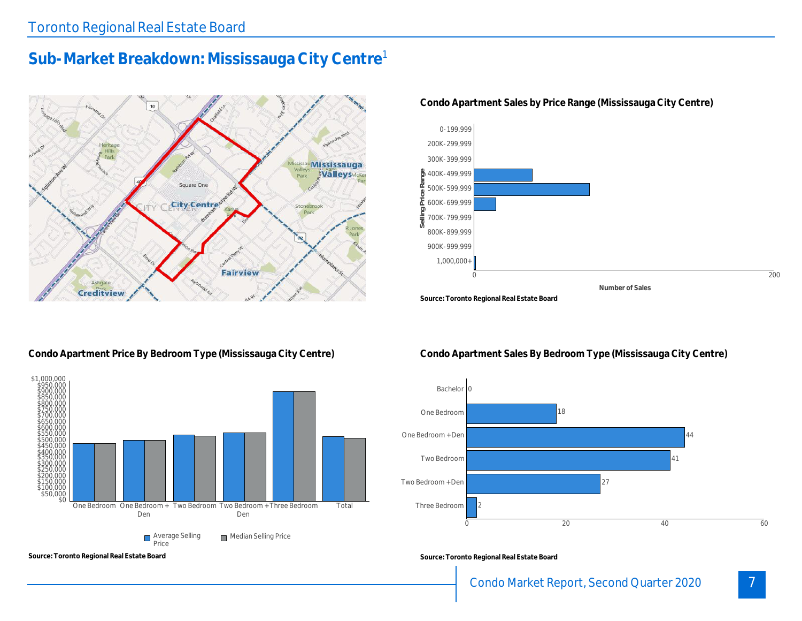## **Sub-Market Breakdown: Mississauga City Centre** 1



**Condo Apartment Sales by Price Range (Mississauga City Centre)**



#### **Condo Apartment Price By Bedroom Type (Mississauga City Centre)**



**Source: Toronto Regional Real Estate Board**

#### **Condo Apartment Sales By Bedroom Type (Mississauga City Centre)**



**Source: Toronto Regional Real Estate Board**

7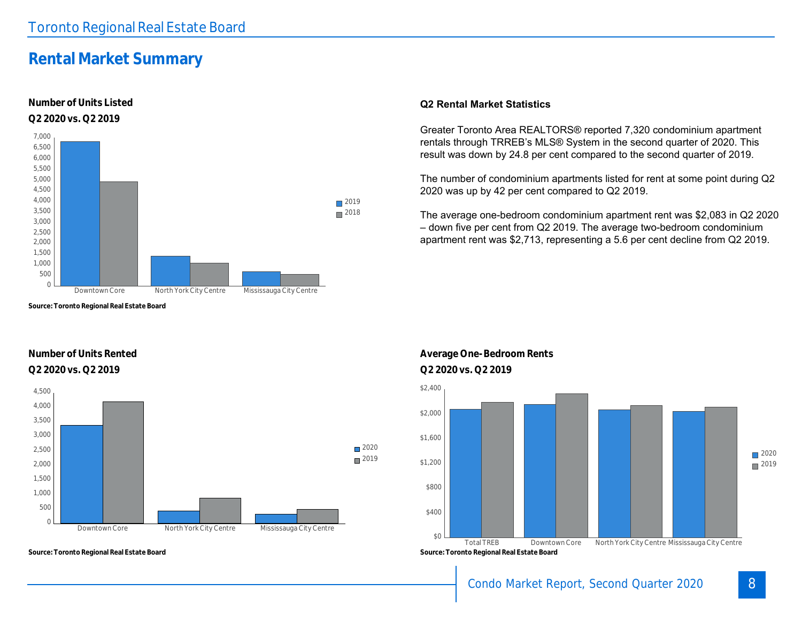## **Rental Market Summary**

#### **Number of Units Listed Q2 2020 vs. Q2 2019**



**Source: Toronto Regional Real Estate Board**

#### **Number of Units Rented Q2 2020 vs. Q2 2019 Q2 2020 vs. Q2 2019**



**Source: Toronto Regional Real Estate Board**

#### **Q2 Rental Market Statistics**

Greater Toronto Area REALTORS® reported 7,320 condominium apartment rentals through TRREB's MLS® System in the second quarter of 2020. This result was down by 24.8 per cent compared to the second quarter of 2019.

The number of condominium apartments listed for rent at some point during Q2 2020 was up by 42 per cent compared to Q2 2019.

The average one-bedroom condominium apartment rent was \$2,083 in Q2 2020 – down five per cent from Q2 2019. The average two-bedroom condominium apartment rent was \$2,713, representing a 5.6 per cent decline from Q2 2019.





## Condo Market Report, Second Quarter 2020

## 8